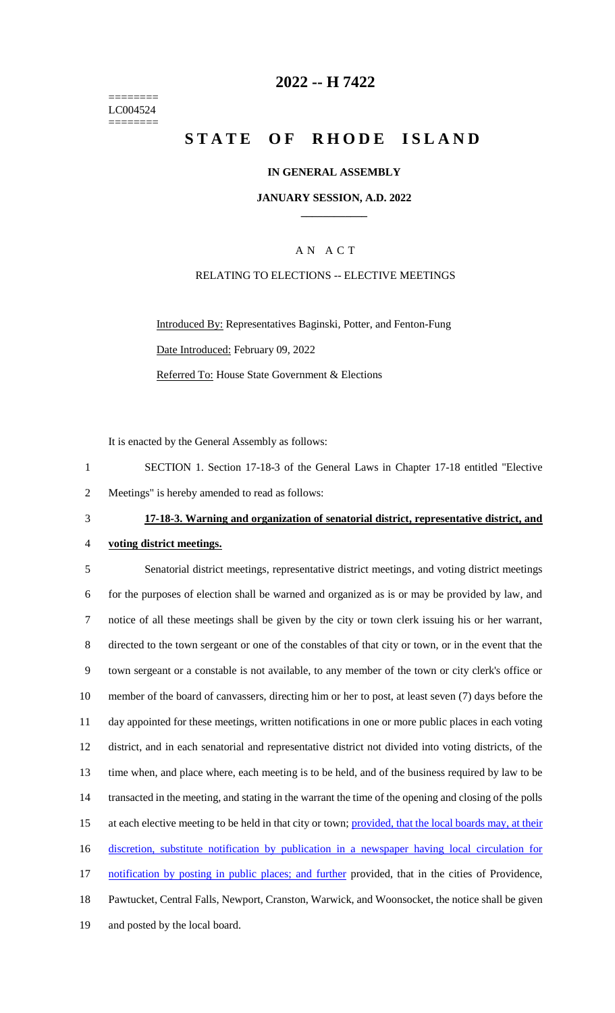======== LC004524 ========

### **2022 -- H 7422**

# **STATE OF RHODE ISLAND**

#### **IN GENERAL ASSEMBLY**

#### **JANUARY SESSION, A.D. 2022 \_\_\_\_\_\_\_\_\_\_\_\_**

### A N A C T

### RELATING TO ELECTIONS -- ELECTIVE MEETINGS

Introduced By: Representatives Baginski, Potter, and Fenton-Fung Date Introduced: February 09, 2022 Referred To: House State Government & Elections

It is enacted by the General Assembly as follows:

1 SECTION 1. Section 17-18-3 of the General Laws in Chapter 17-18 entitled "Elective 2 Meetings" is hereby amended to read as follows:

### 3 **17-18-3. Warning and organization of senatorial district, representative district, and**

#### 4 **voting district meetings.**

 Senatorial district meetings, representative district meetings, and voting district meetings for the purposes of election shall be warned and organized as is or may be provided by law, and notice of all these meetings shall be given by the city or town clerk issuing his or her warrant, directed to the town sergeant or one of the constables of that city or town, or in the event that the town sergeant or a constable is not available, to any member of the town or city clerk's office or member of the board of canvassers, directing him or her to post, at least seven (7) days before the day appointed for these meetings, written notifications in one or more public places in each voting district, and in each senatorial and representative district not divided into voting districts, of the time when, and place where, each meeting is to be held, and of the business required by law to be transacted in the meeting, and stating in the warrant the time of the opening and closing of the polls 15 at each elective meeting to be held in that city or town; provided, that the local boards may, at their discretion, substitute notification by publication in a newspaper having local circulation for 17 notification by posting in public places; and further provided, that in the cities of Providence, Pawtucket, Central Falls, Newport, Cranston, Warwick, and Woonsocket, the notice shall be given and posted by the local board.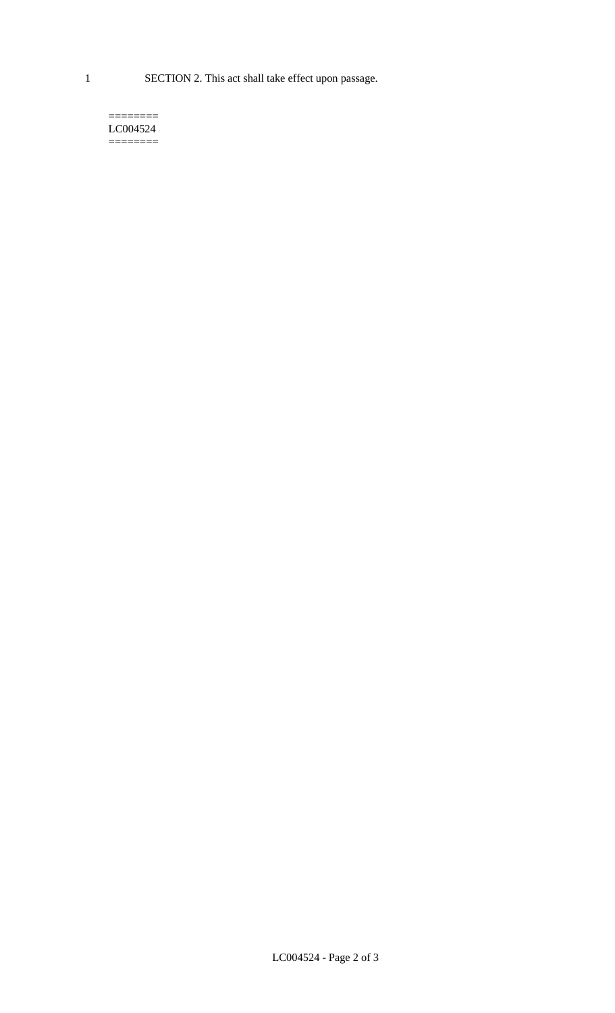1 SECTION 2. This act shall take effect upon passage.

#### $=$ LC004524  $=$